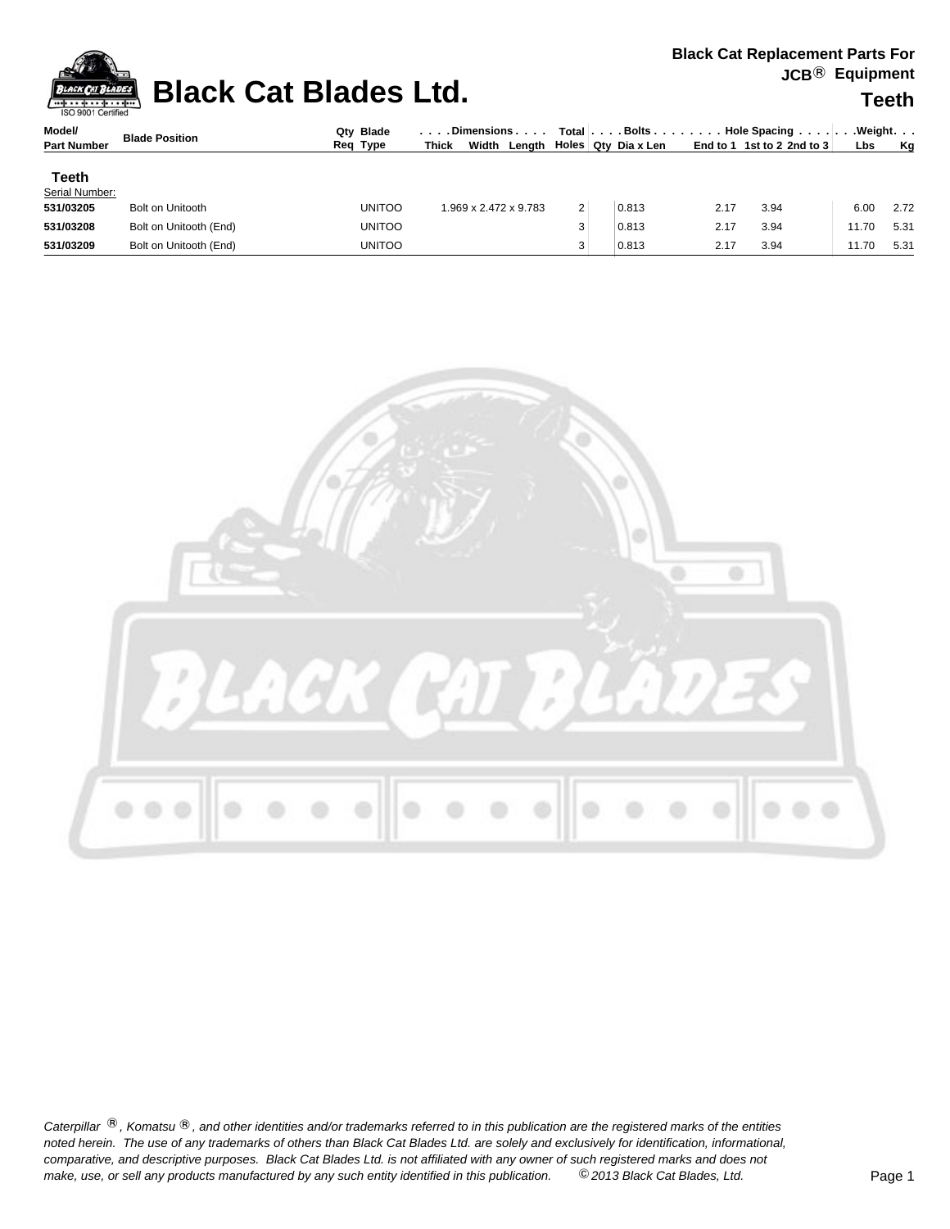

## **Black Cat Blades Ltd.** The the set of the set of the set of the set of the set of the set of the set of the set of the set of the set of the set of the set of the set of the set of the set of the set of the set of the set

| Model/                  | <b>Blade Position</b>   | Qtv Blade<br>Req Type | . Dimensions                      |                | $Total   \ldots$ Bolts $\ldots$ . |                          |      | . Hole Spacing $\ldots$ . $\ldots$ . Weight. $\ldots$ |            |      |
|-------------------------|-------------------------|-----------------------|-----------------------------------|----------------|-----------------------------------|--------------------------|------|-------------------------------------------------------|------------|------|
| <b>Part Number</b>      |                         |                       | Width<br>Lenath I<br><b>Thick</b> |                |                                   | .⊤ Holes ∣ Qty Dia x Len |      | End to 1 1st to 2 2nd to $3$                          | <b>Lbs</b> | Ka   |
| Teeth<br>Serial Number: |                         |                       |                                   |                |                                   |                          |      |                                                       |            |      |
| 531/03205               | <b>Bolt on Unitooth</b> | <b>UNITOO</b>         | 1.969 x 2.472 x 9.783 l           | $\overline{2}$ |                                   | 0.813                    | 2.17 | 3.94                                                  | 6.00       | 2.72 |
| 531/03208               | Bolt on Unitooth (End)  | <b>UNITOO</b>         |                                   |                |                                   | 0.813                    | 2.17 | 3.94                                                  | 11.70      | 5.31 |

**531/03209** Bolt on Unitooth (End) UNITOO 3 2.17 3.94 11.70 5.31



Caterpillar ®, Komatsu ®, and other identities and/or trademarks referred to in this publication are the registered marks of the entities *noted herein. The use of any trademarks of others than Black Cat Blades Ltd. are solely and exclusively for identification, informational, make, use, or sell any products manufactured by any such entity identified in this publication. comparative, and descriptive purposes. Black Cat Blades Ltd. is not affiliated with any owner of such registered marks and does not* ©*2013 Black Cat Blades, Ltd.* Page 1